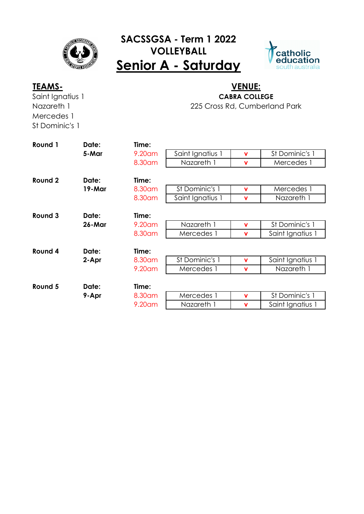

## **SACSSGSA - Term 1 2022 VOLLEYBALL Senior A - Saturday**



Saint Ignatius 1 Nazareth 1 Mercedes 1 St Dominic's 1

## 225 Cross Rd, Cumberland Park **TEAMS- VENUE: CABRA COLLEGE**

| Round 1 | Date:  | Time:   |                  |             |                  |
|---------|--------|---------|------------------|-------------|------------------|
|         | 5-Mar  | 9.20 am | Saint Ignatius 1 | $\mathbf v$ | St Dominic's 1   |
|         |        | 8.30 am | Nazareth 1       | $\mathbf v$ | Mercedes 1       |
| Round 2 | Date:  | Time:   |                  |             |                  |
|         | 19-Mar | 8.30 am | St Dominic's 1   | v           | Mercedes 1       |
|         |        | 8.30 am | Saint Ignatius 1 | v           | Nazareth 1       |
| Round 3 | Date:  | Time:   |                  |             |                  |
|         | 26-Mar | 9.20 am | Nazareth 1       | v           | St Dominic's 1   |
|         |        | 8.30 am | Mercedes 1       | $\mathbf v$ | Saint Ignatius 1 |
| Round 4 | Date:  | Time:   |                  |             |                  |
|         | 2-Apr  | 8.30 am | St Dominic's 1   | $\mathbf v$ | Saint Ignatius 1 |
|         |        | 9.20am  | Mercedes 1       | $\mathbf v$ | Nazareth 1       |
| Round 5 | Date:  | Time:   |                  |             |                  |
|         | 9-Apr  | 8.30 am | Mercedes 1       | v           | St Dominic's 1   |
|         |        | 9.20am  | Nazareth 1       | v           | Saint Ignatius 1 |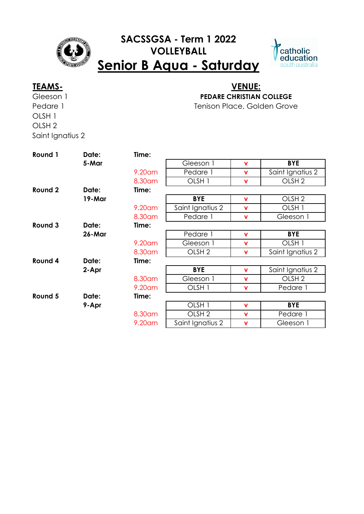

## **SACSSGSA - Term 1 2022 VOLLEYBALL Senior B Aqua - Saturday**



Gleeson 1 Pedare 1 OLSH 1 OLSH 2 Saint Ignatius 2

### Tenison Place, Golden Grove **TEAMS- VENUE: PEDARE CHRISTIAN COLLEGE**

**Round 1 Date: Time: 5-Mar** Gleeson 1 **v BYE** 9.20am Pedare 1 **v** Saint Ignatius 2 8.30am OLSH 1 **v** OLSH 2 **Round 2 Date: Time: 19-Mar BYE v** OLSH 2 9.20am Saint Ignatius 2 **v** OLSH 1 8.30am Pedare 1 **v** Gleeson 1 **Round 3 Date: Time: 26-Mar** Pedare 1 **v BYE** 9.20am Gleeson 1 **v** OLSH 1 8.30am OLSH 2 **v** Saint Ignatius 2 **Round 4 Date: Time: 2-Apr BYE v** Saint Ignatius 2 8.30am Gleeson 1 **v** OLSH 2 9.20am OLSH 1 **v** Pedare 1 **Round 5 Date: Time: 9-Apr** OLSH 1 **v BYE** 8.30am OLSH 2 **v** Pedare 1 9.20am Saint Ignatius 2 **v** Gleeson 1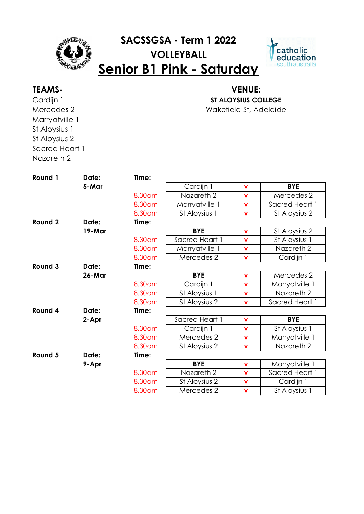

# **SACSSGSA - Term 1 2022 VOLLEYBALL Senior B1 Pink - Saturday**



Cardijn 1 Mercedes 2 Marryatville 1 St Aloysius 1 St Aloysius 2 Sacred Heart 1 Nazareth 2

### Wakefield St, Adelaide **TEAMS- VENUE: ST ALOYSIUS COLLEGE**

| Round 1 | Date:  | Time:   |                |             |                |
|---------|--------|---------|----------------|-------------|----------------|
|         | 5-Mar  |         | Cardijn 1      | $\mathbf v$ | <b>BYE</b>     |
|         |        | 8.30 am | Nazareth 2     | $\mathbf v$ | Mercedes 2     |
|         |        | 8.30am  | Marryatville 1 | $\mathbf v$ | Sacred Heart 1 |
|         |        | 8.30 am | St Aloysius 1  | $\mathbf v$ | St Aloysius 2  |
| Round 2 | Date:  | Time:   |                |             |                |
|         | 19-Mar |         | <b>BYE</b>     | $\mathbf v$ | St Aloysius 2  |
|         |        | 8.30 am | Sacred Heart 1 | $\mathbf v$ | St Aloysius 1  |
|         |        | 8.30am  | Marryatville 1 | $\mathbf v$ | Nazareth 2     |
|         |        | 8.30am  | Mercedes 2     | $\mathbf v$ | Cardijn 1      |
| Round 3 | Date:  | Time:   |                |             |                |
|         | 26-Mar |         | <b>BYE</b>     | $\mathbf v$ | Mercedes 2     |
|         |        | 8.30am  | Cardijn 1      | $\mathbf v$ | Marryatville 1 |
|         |        | 8.30 am | St Aloysius 1  | $\mathbf v$ | Nazareth 2     |
|         |        | 8.30am  | St Aloysius 2  | $\mathbf v$ | Sacred Heart 1 |
| Round 4 | Date:  | Time:   |                |             |                |
|         | 2-Apr  |         | Sacred Heart 1 | V           | <b>BYE</b>     |
|         |        | 8.30am  | Cardijn 1      | $\mathbf v$ | St Aloysius 1  |
|         |        | 8.30am  | Mercedes 2     | $\mathbf v$ | Marryatville 1 |
|         |        | 8.30am  | St Aloysius 2  | $\mathbf v$ | Nazareth 2     |
| Round 5 | Date:  | Time:   |                |             |                |
|         | 9-Apr  |         | <b>BYE</b>     | $\mathbf v$ | Marryatville 1 |
|         |        | 8.30 am | Nazareth 2     | $\mathbf v$ | Sacred Heart 1 |
|         |        | 8.30am  | St Aloysius 2  | $\mathbf v$ | Cardijn 1      |
|         |        | 8.30am  | Mercedes 2     | $\mathbf v$ | St Aloysius 1  |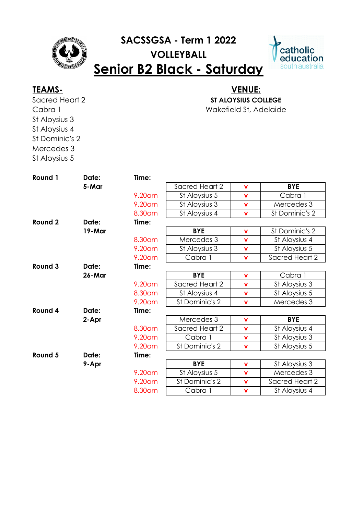

# **SACSSGSA - Term 1 2022 VOLLEYBALL Senior B2 Black - Saturday**



Sacred Heart 2 Cabra 1 St Aloysius 3 St Aloysius 4 St Dominic's 2 Mercedes 3 St Aloysius 5

## Wakefield St, Adelaide **TEAMS- VENUE: ST ALOYSIUS COLLEGE**

| Round 1 | Date:  | Time:   |                |             |                |
|---------|--------|---------|----------------|-------------|----------------|
|         | 5-Mar  |         | Sacred Heart 2 | $\mathbf v$ | <b>BYE</b>     |
|         |        | 9.20am  | St Aloysius 5  | $\mathbf v$ | Cabra 1        |
|         |        | 9.20 am | St Aloysius 3  | $\mathbf v$ | Mercedes 3     |
|         |        | 8.30 am | St Aloysius 4  | $\mathbf v$ | St Dominic's 2 |
| Round 2 | Date:  | Time:   |                |             |                |
|         | 19-Mar |         | <b>BYE</b>     | $\mathbf v$ | St Dominic's 2 |
|         |        | 8.30am  | Mercedes 3     | $\mathbf v$ | St Aloysius 4  |
|         |        | 9.20am  | St Aloysius 3  | $\mathbf v$ | St Aloysius 5  |
|         |        | 9.20am  | Cabra 1        | $\mathbf v$ | Sacred Heart 2 |
| Round 3 | Date:  | Time:   |                |             |                |
|         | 26-Mar |         | <b>BYE</b>     | $\mathbf v$ | Cabra 1        |
|         |        | 9.20am  | Sacred Heart 2 | $\mathbf v$ | St Aloysius 3  |
|         |        | 8.30am  | St Aloysius 4  | $\mathbf v$ | St Aloysius 5  |
|         |        | 9.20am  | St Dominic's 2 | $\mathbf v$ | Mercedes 3     |
| Round 4 | Date:  | Time:   |                |             |                |
|         | 2-Apr  |         | Mercedes 3     | $\mathbf v$ | <b>BYE</b>     |
|         |        | 8.30 am | Sacred Heart 2 | $\mathbf v$ | St Aloysius 4  |
|         |        | 9.20am  | Cabra 1        | $\mathbf v$ | St Aloysius 3  |
|         |        | 9.20am  | St Dominic's 2 | $\mathbf v$ | St Aloysius 5  |
| Round 5 | Date:  | Time:   |                |             |                |
|         | 9-Apr  |         | <b>BYE</b>     | $\mathbf v$ | St Aloysius 3  |
|         |        | 9.20am  | St Aloysius 5  | $\mathbf v$ | Mercedes 3     |
|         |        | 9.20am  | St Dominic's 2 | $\mathbf v$ | Sacred Heart 2 |
|         |        | 8.30am  | Cabra 1        | $\mathbf v$ | St Aloysius 4  |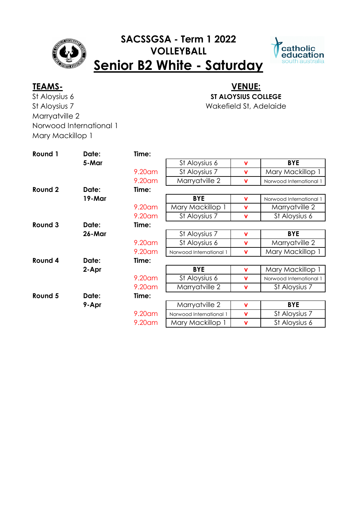## **SACSSGSA - Term 1 2022 VOLLEYBALL Senior B2 White - Saturday**



St Aloysius 6 St Aloysius 7 Marryatville 2 Norwood International 1 Mary Mackillop 1

### Wakefield St, Adelaide **TEAMS- VENUE: ST ALOYSIUS COLLEGE**

**Round 1 Date: Time: 5-Mar b St** Aloysius 6 **v BYE** 9.20am St Aloysius 7 **v** Mary Mackillop 9.20am Marryatville 2 **v** Norwood International 1 **Round 2 Date: Time: 19-Mar BYE v** Norwood International 1 9.20am Mary Mackillop 1 **v** Marryatville 2 9.20am St Aloysius 7 **v** St Aloysius 6 **Round 3 Date: Time: 26-Mar** St Aloysius 7 **v** BYE 9.20am St Aloysius 6 **v** Marryatville 2 9.20am | Norwood International 1 | v | Mary Mackillop 1 **Round 4 Date: Time: 2-Apr BYE v** Mary Mackillop 1 9.20am St Aloysius 6 **v** Norwood International 1 9.20am Marryatville 2 **v** St Aloysius 7 **Round 5 Date: Time: 9-Apr** Marryatville 2 **v** BYE 9.20am Norwood International 1 **v** St Aloysius 7 9.20am | Mary Mackillop 1 | v | St Aloysius 6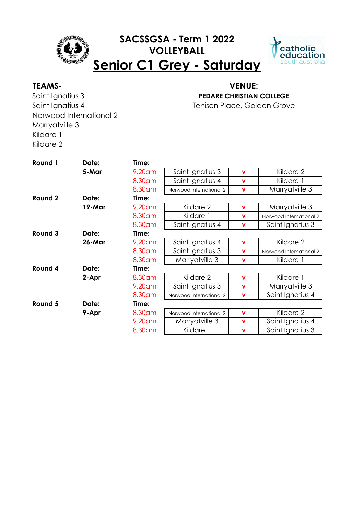

## **SACSSGSA - Term 1 2022 VOLLEYBALL Senior C1 Grey - Saturday**



Saint Ignatius 3 Saint Ianatius 4 Norwood International 2 Marryatville 3 Kildare 1 Kildare 2

### Tenison Place, Golden Grove **TEAMS- VENUE: PEDARE CHRISTIAN COLLEGE**

**Round 1 Date: Time: 5-Mar** 9.20am Saint Ignatius 3 **v** Kildare 2 8.30am Saint Ignatius 4 **v** Kildare 1 8.30am Norwood International 2 **v** Marryatville 3 **Round 2 Date: Time: 19-Mar** 9.20am Kildare 2 **v** Marryatville 3 8.30am Kildare 1 **v** Norwood International 2 8.30am | Saint Ignatius 4 | v | Saint Ignatius 3 **Round 3 Date: Time: 26-Mar** 9.20am Saint Ignatius 4 **v** Kildare 2 8.30am Saint Ignatius 3 **v** Norwood International 2 8.30am Marryatville 3 **v** Kildare 1 **Round 4 Date: Time: 2-Apr** 8.30am Kildare 2 **v** Kildare 1 9.20am Saint Ignatius 3 **v** Marryatville 3 8.30am | Norwood International 2 | v | Saint Ignatius 4 **Round 5 Date: Time: 9-Apr** 8.30am Norwood International 2 **v** Kildare 2 9.20am Marryatville 3 **v** Saint Ignatius 4 8.30am Kildare 1 **v** Saint Ignatius 3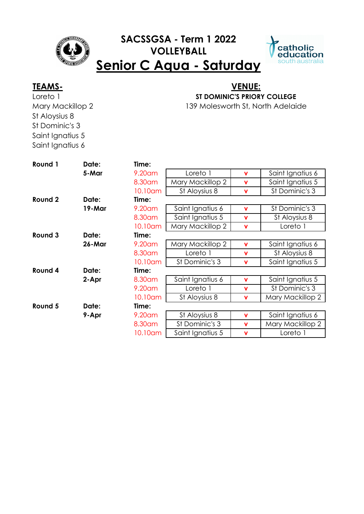

## **SACSSGSA - Term 1 2022 VOLLEYBALL Senior C Aqua - Saturday**



Loreto 1 Mary Mackillop 2 St Aloysius 8 St Dominic's 3 Saint Ignatius 5 Saint Ignatius 6

### 139 Molesworth St, North Adelaide **TEAMS- VENUE: ST DOMINIC'S PRIORY COLLEGE**

**Round 1 Date: Time: 5-Mar** 9.20am Loreto 1 **v** Saint Ignatius 6 8.30am | Mary Mackillop 2 | v | Saint Ignatius 5 10.10am St Aloysius 8 **v** St Dominic's 3 **Round 2 Date: Time: 19-Mar** 9.20am Saint Ignatius 6 **v** St Dominic's 3 8.30am Saint Ignatius 5 **v** St Aloysius 8 10.10am | Mary Mackillop 2 | v | Loreto 1 **Round 3 Date: Time: 26-Mar** 9.20am Mary Mackillop 2 **v** Saint Ignatius 6 8.30am Loreto 1 **v** St Aloysius 8 10.10am St Dominic's 3 **v** Saint Ignatius 5 **Round 4 Date: Time: 2-Apr** 8.30am Saint Ignatius 6 **v** Saint Ignatius 5 9.20am Loreto 1 **v** St Dominic's 3 10.10am St Aloysius 8 **v** Mary Mackillop 2 **Round 5 Date: Time: 9-Apr** 9.20am St Aloysius 8 **v** Saint Ignatius 6 8.30am St Dominic's 3 **v** Mary Mackillop 2 10.10am Saint Ignatius 5 **v** Loreto 1